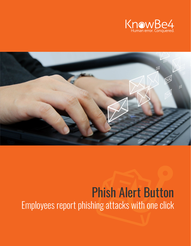



# Phish Alert Button Employees report phishing attacks with one click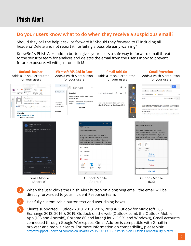## Phish Alert

#### **Do your users know what to do when they receive a suspicious email?**

Should they call the help desk, or forward it? Should they forward to IT including all headers? Delete and not report it, forfeiting a possible early warning?

KnowBe4's Phish Alert add-in button gives your users a safe way to forward email threats to the security team for analysis and deletes the email from the user's inbox to prevent future exposure. All with just one click!



- When the user clicks the Phish Alert button on a phishing email, the email will be directly forwarded to your Incident Response team.
- Has fully customizable button text and user dialog boxes.
- Clients supported: Outlook 2010, 2013, 2016, 2019 & Outlook for Microsoft 365, Exchange 2013, 2016 & 2019, Outlook on the web (Outlook.com), the Outlook Mobile App (iOS and Android), Chrome 80 and later (Linux, OS X, and Windows), Gmail accounts connected through Google Workspace, Gmail Add-on is compatible with Gmail in browser and mobile clients. For more information on compatibility, please visit: <https://support.knowbe4.com/hc/en-us/articles/1500011951662-Phish-Alert-Button-Compatibility-Matrix>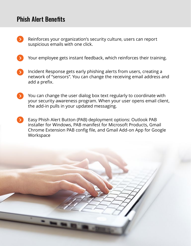## Phish Alert Benefits

- Reinforces your organization's security culture, users can report suspicious emails with one click.
- Your employee gets instant feedback, which reinforces their training.
- Incident Response gets early phishing alerts from users, creating a network of "sensors". You can change the receiving email address and add a prefix.
- You can change the user dialog box text regularly to coordinate with  $\rightarrow$ your security awareness program. When your user opens email client, the add-in pulls in your updated messaging.
- Easy Phish Alert Button (PAB) deployment options: Outlook PAB  $\sum$ installer for Windows, PAB manifest for Microsoft Products, Gmail Chrome Extension PAB config file, and Gmail Add-on App for Google **Workspace**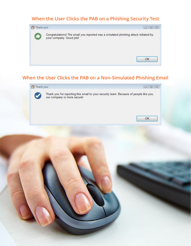#### **When the User Clicks the PAB on a Phishing Security Test**



#### **When the User Clicks the PAB on a Non-Simulated Phishing Email**



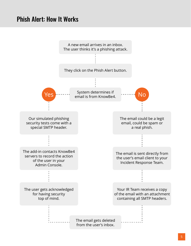## Phish Alert: How It Works

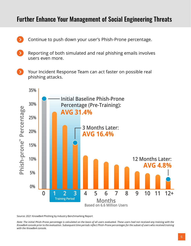### Further Enhance Your Management of Social Engineering Threats

- Continue to push down your user's Phish-Prone percentage.
- Reporting of both simulated and real phishing emails involves users even more.
- Your Incident Response Team can act faster on possible real phishing attacks.



Source: 2021 KnowBe4 Phishing by Industry Benchmarking Report

*Note: The initial Phish-Prone percentage is calculated on the basis of all users evaluated. These users had not received any training with the KnowBe4 console prior to the evaluation. Subsequent time periods reflect Phish-Prone percentages for the subset of users who received training with the KnowBe4 console.*